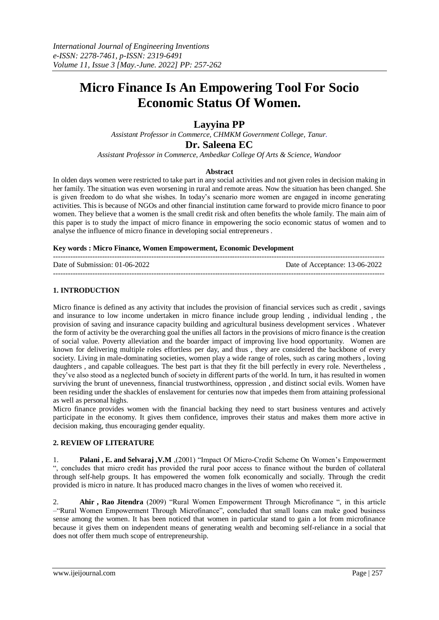# **Micro Finance Is An Empowering Tool For Socio Economic Status Of Women.**

# **Layyina PP**

*Assistant Professor in Commerce, CHMKM Government College, [Tanur.](mailto:Tanur.layyinapp@gmail.com)*

**Dr. Saleena EC**

*Assistant Professor in Commerce, Ambedkar College Of Arts & Science, Wandoor*

# **Abstract**

In olden days women were restricted to take part in any social activities and not given roles in decision making in her family. The situation was even worsening in rural and remote areas. Now the situation has been changed. She is given freedom to do what she wishes. In today's scenario more women are engaged in income generating activities. This is because of NGOs and other financial institution came forward to provide micro finance to poor women. They believe that a women is the small credit risk and often benefits the whole family. The main aim of this paper is to study the impact of micro finance in empowering the socio economic status of women and to analyse the influence of micro finance in developing social entrepreneurs .

#### **Key words : Micro Finance, Women Empowerment, Economic Development**

| Date of Submission: 01-06-2022 | Date of Acceptance: 13-06-2022 |
|--------------------------------|--------------------------------|
|                                |                                |

# **1. INTRODUCTION**

Micro finance is defined as any activity that includes the provision of financial services such as credit , savings and insurance to low income undertaken in micro finance include group lending , individual lending , the provision of saving and insurance capacity building and agricultural business development services . Whatever the form of activity be the overarching goal the unifies all factors in the provisions of micro finance is the creation of social value. Poverty alleviation and the boarder impact of improving live hood opportunity. Women are known for delivering multiple roles effortless per day, and thus , they are considered the backbone of every society. Living in male-dominating societies, women play a wide range of roles, such as caring mothers , loving daughters, and capable colleagues. The best part is that they fit the bill perfectly in every role. Nevertheless, they've also stood as a neglected bunch of society in different parts of the world. In turn, it has resulted in women surviving the brunt of unevenness, financial trustworthiness, oppression , and distinct social evils. Women have been residing under the shackles of enslavement for centuries now that impedes them from attaining professional as well as personal highs.

Micro finance provides women with the financial backing they need to start business ventures and actively participate in the economy. It gives them confidence, improves their status and makes them more active in decision making, thus encouraging gender equality.

# **2. REVIEW OF LITERATURE**

1. **Palani , E. and Selvaraj ,V.M** ,(2001) "Impact Of Micro-Credit Scheme On Women's Empowerment ", concludes that micro credit has provided the rural poor access to finance without the burden of collateral through self-help groups. It has empowered the women folk economically and socially. Through the credit provided is micro in nature. It has produced macro changes in the lives of women who received it.

2. **Ahir , Rao Jitendra** (2009) "Rural Women Empowerment Through Microfinance ", in this article –"Rural Women Empowerment Through Microfinance", concluded that small loans can make good business sense among the women. It has been noticed that women in particular stand to gain a lot from microfinance because it gives them on independent means of generating wealth and becoming self-reliance in a social that does not offer them much scope of entrepreneurship.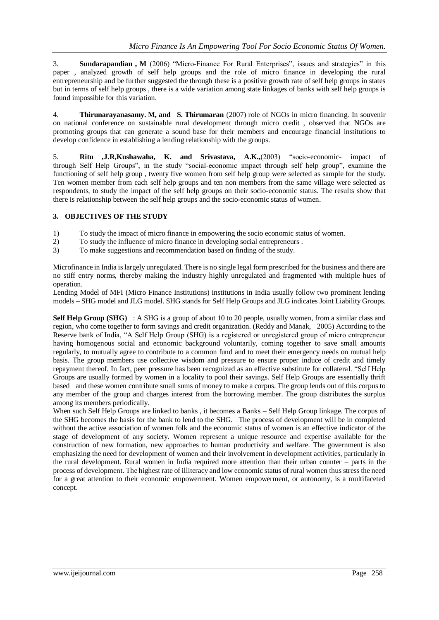3. **Sundarapandian , M** (2006) "Micro-Finance For Rural Enterprises", issues and strategies" in this paper , analyzed growth of self help groups and the role of micro finance in developing the rural entrepreneurship and be further suggested the through these is a positive growth rate of self help groups in states but in terms of self help groups , there is a wide variation among state linkages of banks with self help groups is found impossible for this variation.

4. **Thirunarayanasamy. M, and S. Thirumaran** (2007) role of NGOs in micro financing. In souvenir on national conference on sustainable rural development through micro credit , observed that NGOs are promoting groups that can generate a sound base for their members and encourage financial institutions to develop confidence in establishing a lending relationship with the groups.

5. **Ritu ,J.R,Kushawaha, K. and Srivastava, A.K.,**(2003) "socio-economic- impact of through Self Help Groups", in the study "social-economic impact through self help group", examine the functioning of self help group , twenty five women from self help group were selected as sample for the study. Ten women member from each self help groups and ten non members from the same village were selected as respondents, to study the impact of the self help groups on their socio-economic status. The results show that there is relationship between the self help groups and the socio-economic status of women.

# **3. OBJECTIVES OF THE STUDY**

- 1) To study the impact of micro finance in empowering the socio economic status of women.
- 2) To study the influence of micro finance in developing social entrepreneurs .
- 3) To make suggestions and recommendation based on finding of the study.

Microfinance in India is largely unregulated. There is no single legal form prescribed for the business and there are no stiff entry norms, thereby making the industry highly unregulated and fragmented with multiple hues of operation.

Lending Model of MFI (Micro Finance Institutions) institutions in India usually follow two prominent lending models – SHG model and JLG model. SHG stands for Self Help Groups and JLG indicates Joint Liability Groups.

**Self Help Group (SHG)** : A SHG is a group of about 10 to 20 people, usually women, from a similar class and region, who come together to form savings and credit organization. (Reddy and Manak, 2005) According to the Reserve bank of India, "A Self Help Group (SHG) is a registered or unregistered group of micro entrepreneur having homogenous social and economic background voluntarily, coming together to save small amounts regularly, to mutually agree to contribute to a common fund and to meet their emergency needs on mutual help basis. The group members use collective wisdom and pressure to ensure proper induce of credit and timely repayment thereof. In fact, peer pressure has been recognized as an effective substitute for collateral. "Self Help Groups are usually formed by women in a locality to pool their savings. Self Help Groups are essentially thrift based and these women contribute small sums of money to make a corpus. The group lends out of this corpus to any member of the group and charges interest from the borrowing member. The group distributes the surplus among its members periodically.

When such Self Help Groups are linked to banks , it becomes a Banks – Self Help Group linkage. The corpus of the SHG becomes the basis for the bank to lend to the SHG. The process of development will be in completed without the active association of women folk and the economic status of women is an effective indicator of the stage of development of any society. Women represent a unique resource and expertise available for the construction of new formation, new approaches to human productivity and welfare. The government is also emphasizing the need for development of women and their involvement in development activities, particularly in the rural development. Rural women in India required more attention than their urban counter – parts in the process of development. The highest rate of illiteracy and low economic status of rural women thus stress the need for a great attention to their economic empowerment. Women empowerment, or autonomy, is a multifaceted concept.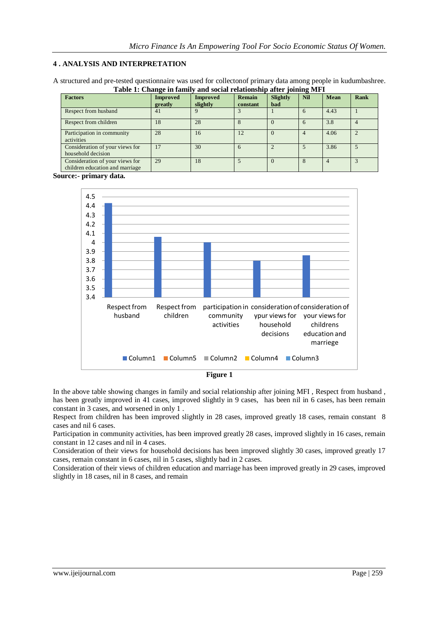#### **4 . ANALYSIS AND INTERPRETATION**

A structured and pre-tested questionnaire was used for collectonof primary data among people in kudumbashree. **Table 1: Change in family and social relationship after joining MFI**

| <b>Factors</b>                                                     | <b>Improved</b><br>greatly | <b>Improved</b><br>slightly | <b>Remain</b><br>constant | <b>Slightly</b><br><b>bad</b> | <b>Nil</b> | <b>Mean</b> | <b>Rank</b> |
|--------------------------------------------------------------------|----------------------------|-----------------------------|---------------------------|-------------------------------|------------|-------------|-------------|
| Respect from husband                                               | 41                         |                             |                           |                               |            | 4.43        |             |
| Respect from children                                              | 18                         | 28                          |                           | $\theta$                      |            | 3.8         |             |
| Participation in community<br>activities                           | 28                         | 16                          | 12                        | $\Omega$                      |            | 4.06        |             |
| Consideration of your views for<br>household decision              | 17                         | 30                          | 6                         |                               |            | 3.86        |             |
| Consideration of your views for<br>children education and marriage | 29                         | 18                          |                           | $\Omega$                      |            |             |             |

**Source:- primary data.**





In the above table showing changes in family and social relationship after joining MFI , Respect from husband , has been greatly improved in 41 cases, improved slightly in 9 cases, has been nil in 6 cases, has been remain constant in 3 cases, and worsened in only 1 .

Respect from children has been improved slightly in 28 cases, improved greatly 18 cases, remain constant 8 cases and nil 6 cases.

Participation in community activities, has been improved greatly 28 cases, improved slightly in 16 cases, remain constant in 12 cases and nil in 4 cases.

Consideration of their views for household decisions has been improved slightly 30 cases, improved greatly 17 cases, remain constant in 6 cases, nil in 5 cases, slightly bad in 2 cases.

Consideration of their views of children education and marriage has been improved greatly in 29 cases, improved slightly in 18 cases, nil in 8 cases, and remain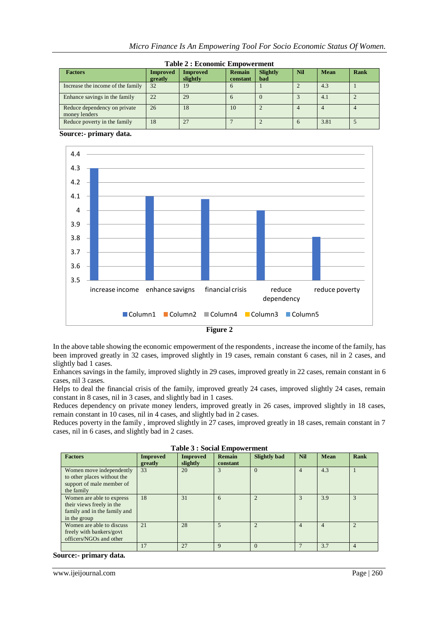|  | Micro Finance Is An Empowering Tool For Socio Economic Status Of Women. |  |  |  |
|--|-------------------------------------------------------------------------|--|--|--|
|  |                                                                         |  |  |  |

| <b>Table 2: Economic Empowerment</b>          |                            |                             |                           |                        |                |             |      |
|-----------------------------------------------|----------------------------|-----------------------------|---------------------------|------------------------|----------------|-------------|------|
| <b>Factors</b>                                | <b>Improved</b><br>greatly | <b>Improved</b><br>slightly | <b>Remain</b><br>constant | <b>Slightly</b><br>bad | <b>Nil</b>     | <b>Mean</b> | Rank |
| Increase the income of the family             | 32                         | 19                          | <sub>b</sub>              |                        |                | 4.3         |      |
| Enhance savings in the family                 | 22                         | 29                          | <sub>b</sub>              |                        |                | 4.1         |      |
| Reduce dependency on private<br>money lenders | 26                         | 18                          | 10                        |                        | $\overline{4}$ | 4           |      |
| Reduce poverty in the family                  | 18                         | 27                          |                           |                        | 6              | 3.81        |      |

 **Source:- primary data.**



In the above table showing the economic empowerment of the respondents , increase the income of the family, has been improved greatly in 32 cases, improved slightly in 19 cases, remain constant 6 cases, nil in 2 cases, and slightly bad 1 cases.

Enhances savings in the family, improved slightly in 29 cases, improved greatly in 22 cases, remain constant in 6 cases, nil 3 cases.

Helps to deal the financial crisis of the family, improved greatly 24 cases, improved slightly 24 cases, remain constant in 8 cases, nil in 3 cases, and slightly bad in 1 cases.

Reduces dependency on private money lenders, improved greatly in 26 cases, improved slightly in 18 cases, remain constant in 10 cases, nil in 4 cases, and slightly bad in 2 cases.

Reduces poverty in the family, improved slightly in 27 cases, improved greatly in 18 cases, remain constant in 7 cases, nil in 6 cases, and slightly bad in 2 cases.

| Tubic 9 . Docial Empowerment                                                                           |                            |                             |                    |                     |            |                |                |
|--------------------------------------------------------------------------------------------------------|----------------------------|-----------------------------|--------------------|---------------------|------------|----------------|----------------|
| <b>Factors</b>                                                                                         | <b>Improved</b><br>greatly | <b>Improved</b><br>slightly | Remain<br>constant | <b>Slightly bad</b> | <b>Nil</b> | <b>Mean</b>    | Rank           |
| Women move independently<br>to other places without the<br>support of male member of<br>the family     | 33                         | 20                          |                    | $\Omega$            | 4          | 4.3            |                |
| Women are able to express<br>their views freely in the<br>family and in the family and<br>in the group | 18                         | 31                          | 6                  | $\overline{2}$      | 3          | 3.9            | 3              |
| Women are able to discuss<br>freely with bankers/govt<br>officers/NGOs and other                       | 21                         | 28                          | 5                  | $\mathfrak{D}$      | 4          | $\overline{4}$ | $\overline{2}$ |
|                                                                                                        | 17                         | 27                          | $\mathbf Q$        | $\Omega$            |            | 3.7            | $\overline{4}$ |

|  |  |  | <b>Table 3 : Social Empowerment</b> |
|--|--|--|-------------------------------------|
|--|--|--|-------------------------------------|

#### **Source:- primary data.**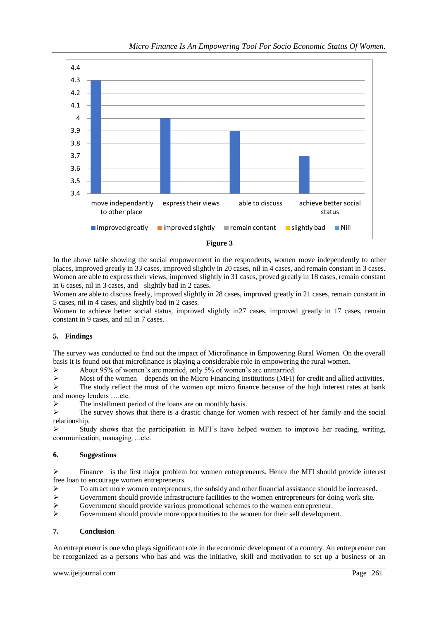

In the above table showing the social empowerment in the respondents, women move independently to other places, improved greatly in 33 cases, improved slightly in 20 cases, nil in 4 cases, and remain constant in 3 cases. Women are able to express their views, improved slightly in 31 cases, proved greatly in 18 cases, remain constant in 6 cases, nil in 3 cases, and slightly bad in 2 cases.

Women are able to discuss freely, improved slightly in 28 cases, improved greatly in 21 cases, remain constant in 5 cases, nil in 4 cases, and slightly bad in 2 cases.

Women to achieve better social status, improved slightly in27 cases, improved greatly in 17 cases, remain constant in 9 cases, and nil in 7 cases.

# **5. Findings**

The survey was conducted to find out the impact of Microfinance in Empowering Rural Women. On the overall basis it is found out that microfinance is playing a considerable role in empowering the rural women.

About 95% of women's are married, only 5% of women's are unmarried.

 $\triangleright$  Most of the women depends on the Micro Financing Institutions (MFI) for credit and allied activities.

 $\triangleright$  The study reflect the most of the women opt micro finance because of the high interest rates at bank and money lenders ….etc.

The installment period of the loans are on monthly basis.

 $\triangleright$  The survey shows that there is a drastic change for women with respect of her family and the social relationship.

 Study shows that the participation in MFI's have helped women to improve her reading, writing, communication, managing….etc.

#### **6. Suggestions**

 $\triangleright$  Finance is the first major problem for women entrepreneurs. Hence the MFI should provide interest free loan to encourage women entrepreneurs.

- $\triangleright$  To attract more women entrepreneurs, the subsidy and other financial assistance should be increased.
- $\triangleright$  Government should provide infrastructure facilities to the women entrepreneurs for doing work site.
- Government should provide various promotional schemes to the women entrepreneur.
- $\triangleright$  Government should provide more opportunities to the women for their self development.

#### **7. Conclusion**

An entrepreneur is one who plays significant role in the economic development of a country. An entrepreneur can be reorganized as a persons who has and was the initiative, skill and motivation to set up a business or an